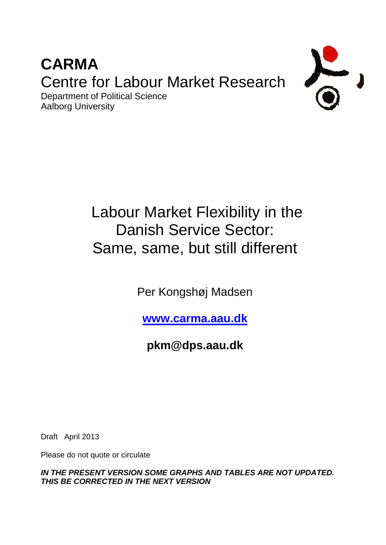## **CARMA** Centre for Labour Market Research Department of Political Science



# Labour Market Flexibility in the Danish Service Sector: Same, same, but still different

Per Kongshøj Madsen

**[www.carma.aau.dk](http://www.carma.aau.dk/)**

**pkm@dps.aau.dk**

Draft April 2013

Aalborg University

Please do not quote or circulate

*IN THE PRESENT VERSION SOME GRAPHS AND TABLES ARE NOT UPDATED. THIS BE CORRECTED IN THE NEXT VERSION*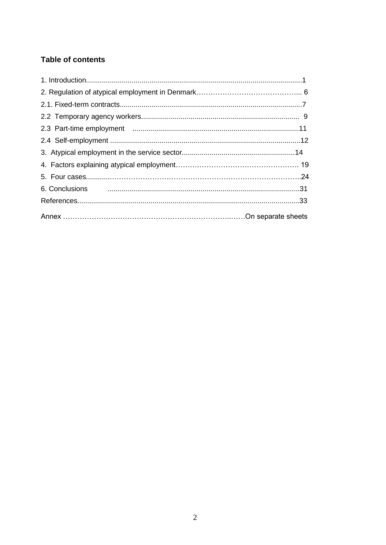### **Table of contents**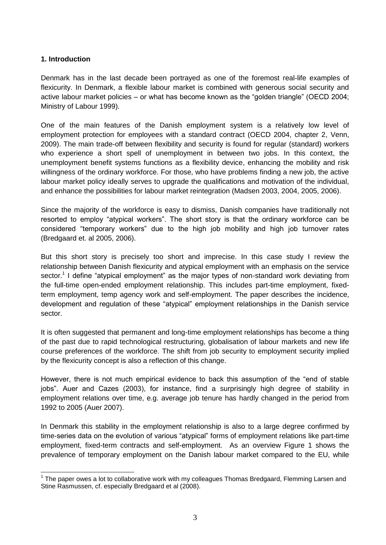#### **1. Introduction**

Denmark has in the last decade been portrayed as one of the foremost real-life examples of flexicurity. In Denmark, a flexible labour market is combined with generous social security and active labour market policies – or what has become known as the "golden triangle" (OECD 2004; Ministry of Labour 1999).

One of the main features of the Danish employment system is a relatively low level of employment protection for employees with a standard contract (OECD 2004, chapter 2, Venn, 2009). The main trade-off between flexibility and security is found for regular (standard) workers who experience a short spell of unemployment in between two jobs. In this context, the unemployment benefit systems functions as a flexibility device, enhancing the mobility and risk willingness of the ordinary workforce. For those, who have problems finding a new job, the active labour market policy ideally serves to upgrade the qualifications and motivation of the individual, and enhance the possibilities for labour market reintegration (Madsen 2003, 2004, 2005, 2006).

Since the majority of the workforce is easy to dismiss, Danish companies have traditionally not resorted to employ "atypical workers". The short story is that the ordinary workforce can be considered "temporary workers" due to the high job mobility and high job turnover rates (Bredgaard et. al 2005, 2006).

But this short story is precisely too short and imprecise. In this case study I review the relationship between Danish flexicurity and atypical employment with an emphasis on the service sector.<sup>1</sup> I define "atypical employment" as the major types of non-standard work deviating from the full-time open-ended employment relationship. This includes part-time employment, fixedterm employment, temp agency work and self-employment. The paper describes the incidence, development and regulation of these "atypical" employment relationships in the Danish service sector.

It is often suggested that permanent and long-time employment relationships has become a thing of the past due to rapid technological restructuring, globalisation of labour markets and new life course preferences of the workforce. The shift from job security to employment security implied by the flexicurity concept is also a reflection of this change.

However, there is not much empirical evidence to back this assumption of the "end of stable jobs". Auer and Cazes (2003), for instance, find a surprisingly high degree of stability in employment relations over time, e.g. average job tenure has hardly changed in the period from 1992 to 2005 (Auer 2007).

In Denmark this stability in the employment relationship is also to a large degree confirmed by time-series data on the evolution of various "atypical" forms of employment relations like part-time employment, fixed-term contracts and self-employment. As an overview Figure 1 shows the prevalence of temporary employment on the Danish labour market compared to the EU, while

<sup>1</sup>  $1$  The paper owes a lot to collaborative work with my colleagues Thomas Bredgaard, Flemming Larsen and Stine Rasmussen, cf. especially Bredgaard et al (2008).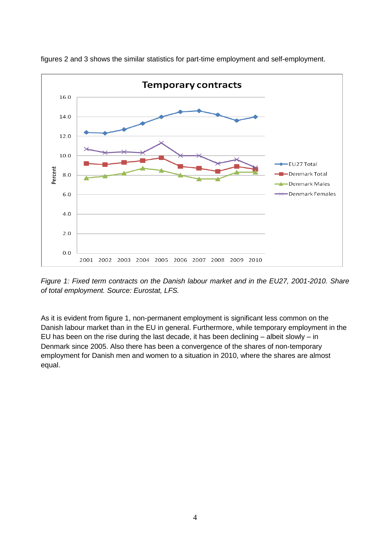

figures 2 and 3 shows the similar statistics for part-time employment and self-employment.

*Figure 1: Fixed term contracts on the Danish labour market and in the EU27, 2001-2010. Share of total employment. Source: Eurostat, LFS.* 

As it is evident from figure 1, non-permanent employment is significant less common on the Danish labour market than in the EU in general. Furthermore, while temporary employment in the EU has been on the rise during the last decade, it has been declining – albeit slowly – in Denmark since 2005. Also there has been a convergence of the shares of non-temporary employment for Danish men and women to a situation in 2010, where the shares are almost equal.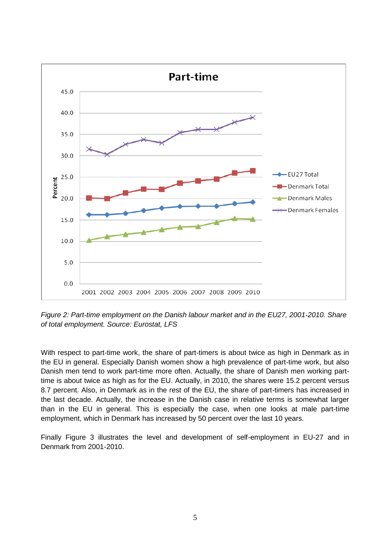

*Figure 2: Part-time employment on the Danish labour market and in the EU27, 2001-2010. Share of total employment. Source: Eurostat, LFS*

With respect to part-time work, the share of part-timers is about twice as high in Denmark as in the EU in general. Especially Danish women show a high prevalence of part-time work, but also Danish men tend to work part-time more often. Actually, the share of Danish men working parttime is about twice as high as for the EU. Actually, in 2010, the shares were 15.2 percent versus 8.7 percent. Also, in Denmark as in the rest of the EU, the share of part-timers has increased in the last decade. Actually, the increase in the Danish case in relative terms is somewhat larger than in the EU in general. This is especially the case, when one looks at male part-time employment, which in Denmark has increased by 50 percent over the last 10 years.

Finally Figure 3 illustrates the level and development of self-employment in EU-27 and in Denmark from 2001-2010.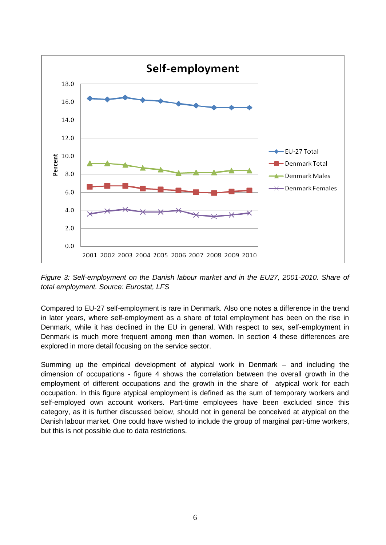

*Figure 3: Self-employment on the Danish labour market and in the EU27, 2001-2010. Share of total employment. Source: Eurostat, LFS*

Compared to EU-27 self-employment is rare in Denmark. Also one notes a difference in the trend in later years, where self-employment as a share of total employment has been on the rise in Denmark, while it has declined in the EU in general. With respect to sex, self-employment in Denmark is much more frequent among men than women. In section 4 these differences are explored in more detail focusing on the service sector.

Summing up the empirical development of atypical work in Denmark – and including the dimension of occupations - figure 4 shows the correlation between the overall growth in the employment of different occupations and the growth in the share of atypical work for each occupation. In this figure atypical employment is defined as the sum of temporary workers and self-employed own account workers. Part-time employees have been excluded since this category, as it is further discussed below, should not in general be conceived at atypical on the Danish labour market. One could have wished to include the group of marginal part-time workers, but this is not possible due to data restrictions.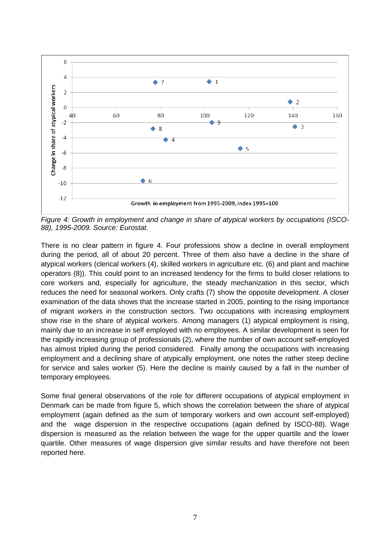

*Figure 4: Growth in employment and change in share of atypical workers by occupations (ISCO-88), 1995-2009. Source: Eurostat.*

There is no clear pattern in figure 4. Four professions show a decline in overall employment during the period, all of about 20 percent. Three of them also have a decline in the share of atypical workers (clerical workers (4), skilled workers in agriculture etc. (6) and plant and machine operators (8)). This could point to an increased tendency for the firms to build closer relations to core workers and, especially for agriculture, the steady mechanization in this sector, which reduces the need for seasonal workers. Only crafts (7) show the opposite development. A closer examination of the data shows that the increase started in 2005, pointing to the rising importance of migrant workers in the construction sectors. Two occupations with increasing employment show rise in the share of atypical workers. Among managers (1) atypical employment is rising, mainly due to an increase in self employed with no employees. A similar development is seen for the rapidly increasing group of professionals (2), where the number of own account self-employed has almost tripled during the period considered. Finally among the occupations with increasing employment and a declining share of atypically employment, one notes the rather steep decline for service and sales worker (5). Here the decline is mainly caused by a fall in the number of temporary employees.

Some final general observations of the role for different occupations of atypical employment in Denmark can be made from figure 5, which shows the correlation between the share of atypical employment (again defined as the sum of temporary workers and own account self-employed) and the wage dispersion in the respective occupations (again defined by ISCO-88). Wage dispersion is measured as the relation between the wage for the upper quartile and the lower quartile. Other measures of wage dispersion give similar results and have therefore not been reported here.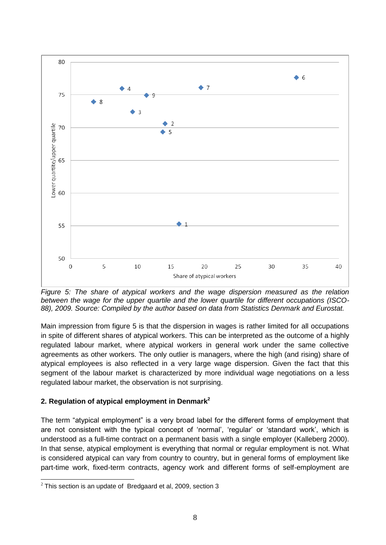

*Figure 5: The share of atypical workers and the wage dispersion measured as the relation between the wage for the upper quartile and the lower quartile for different occupations (ISCO-88), 2009. Source: Compiled by the author based on data from Statistics Denmark and Eurostat.*

Main impression from figure 5 is that the dispersion in wages is rather limited for all occupations in spite of different shares of atypical workers. This can be interpreted as the outcome of a highly regulated labour market, where atypical workers in general work under the same collective agreements as other workers. The only outlier is managers, where the high (and rising) share of atypical employees is also reflected in a very large wage dispersion. Given the fact that this segment of the labour market is characterized by more individual wage negotiations on a less regulated labour market, the observation is not surprising.

#### **2. Regulation of atypical employment in Denmark<sup>2</sup>**

The term "atypical employment" is a very broad label for the different forms of employment that are not consistent with the typical concept of 'normal', 'regular' or 'standard work', which is understood as a full-time contract on a permanent basis with a single employer (Kalleberg 2000). In that sense, atypical employment is everything that normal or regular employment is not. What is considered atypical can vary from country to country, but in general forms of employment like part-time work, fixed-term contracts, agency work and different forms of self-employment are

<sup>-</sup> $2$  This section is an update of Bredgaard et al, 2009, section 3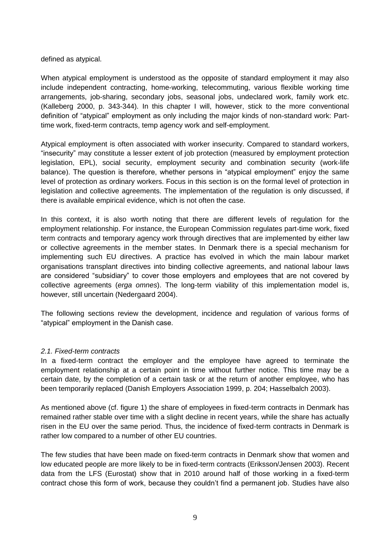defined as atypical.

When atypical employment is understood as the opposite of standard employment it may also include independent contracting, home-working, telecommuting, various flexible working time arrangements, job-sharing, secondary jobs, seasonal jobs, undeclared work, family work etc. (Kalleberg 2000, p. 343-344). In this chapter I will, however, stick to the more conventional definition of "atypical" employment as only including the major kinds of non-standard work: Parttime work, fixed-term contracts, temp agency work and self-employment.

Atypical employment is often associated with worker insecurity. Compared to standard workers, "insecurity" may constitute a lesser extent of job protection (measured by employment protection legislation, EPL), social security, employment security and combination security (work-life balance). The question is therefore, whether persons in "atypical employment" enjoy the same level of protection as ordinary workers. Focus in this section is on the formal level of protection in legislation and collective agreements. The implementation of the regulation is only discussed, if there is available empirical evidence, which is not often the case.

In this context, it is also worth noting that there are different levels of regulation for the employment relationship. For instance, the European Commission regulates part-time work, fixed term contracts and temporary agency work through directives that are implemented by either law or collective agreements in the member states. In Denmark there is a special mechanism for implementing such EU directives. A practice has evolved in which the main labour market organisations transplant directives into binding collective agreements, and national labour laws are considered "subsidiary" to cover those employers and employees that are not covered by collective agreements (*erga omnes*). The long-term viability of this implementation model is, however, still uncertain (Nedergaard 2004).

The following sections review the development, incidence and regulation of various forms of "atypical" employment in the Danish case.

#### *2.1. Fixed-term contracts*

In a fixed-term contract the employer and the employee have agreed to terminate the employment relationship at a certain point in time without further notice. This time may be a certain date, by the completion of a certain task or at the return of another employee, who has been temporarily replaced (Danish Employers Association 1999, p. 204; Hasselbalch 2003).

As mentioned above (cf. figure 1) the share of employees in fixed-term contracts in Denmark has remained rather stable over time with a slight decline in recent years, while the share has actually risen in the EU over the same period. Thus, the incidence of fixed-term contracts in Denmark is rather low compared to a number of other EU countries.

The few studies that have been made on fixed-term contracts in Denmark show that women and low educated people are more likely to be in fixed-term contracts (Eriksson/Jensen 2003). Recent data from the LFS (Eurostat) show that in 2010 around half of those working in a fixed-term contract chose this form of work, because they couldn't find a permanent job. Studies have also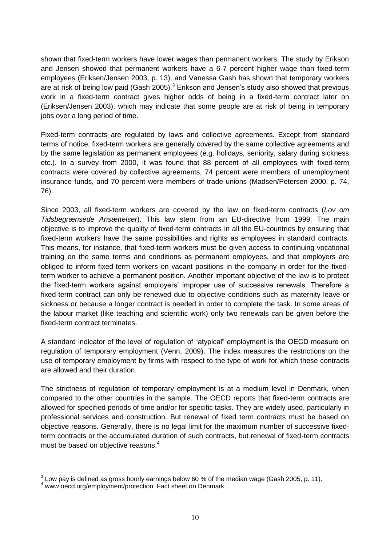shown that fixed-term workers have lower wages than permanent workers. The study by Erikson and Jensen showed that permanent workers have a 6-7 percent higher wage than fixed-term employees (Eriksen/Jensen 2003, p. 13), and Vanessa Gash has shown that temporary workers are at risk of being low paid (Gash 2005). $3$  Erikson and Jensen's study also showed that previous work in a fixed-term contract gives higher odds of being in a fixed-term contract later on (Eriksen/Jensen 2003), which may indicate that some people are at risk of being in temporary jobs over a long period of time.

Fixed-term contracts are regulated by laws and collective agreements. Except from standard terms of notice, fixed-term workers are generally covered by the same collective agreements and by the same legislation as permanent employees (e.g. holidays, seniority, salary during sickness etc.). In a survey from 2000, it was found that 88 percent of all employees with fixed-term contracts were covered by collective agreements, 74 percent were members of unemployment insurance funds, and 70 percent were members of trade unions (Madsen/Petersen 2000, p. 74, 76).

Since 2003, all fixed-term workers are covered by the law on fixed-term contracts (*Lov om Tidsbegrænsede Ansættelser*). This law stem from an EU-directive from 1999. The main objective is to improve the quality of fixed-term contracts in all the EU-countries by ensuring that fixed-term workers have the same possibilities and rights as employees in standard contracts. This means, for instance, that fixed-term workers must be given access to continuing vocational training on the same terms and conditions as permanent employees, and that employers are obliged to inform fixed-term workers on vacant positions in the company in order for the fixedterm worker to achieve a permanent position. Another important objective of the law is to protect the fixed-term workers against employers' improper use of successive renewals. Therefore a fixed-term contract can only be renewed due to objective conditions such as maternity leave or sickness or because a longer contract is needed in order to complete the task. In some areas of the labour market (like teaching and scientific work) only two renewals can be given before the fixed-term contract terminates.

A standard indicator of the level of regulation of "atypical" employment is the OECD measure on regulation of temporary employment (Venn, 2009). The index measures the restrictions on the use of temporary employment by firms with respect to the type of work for which these contracts are allowed and their duration.

The strictness of regulation of temporary employment is at a medium level in Denmark, when compared to the other countries in the sample. The OECD reports that fixed-term contracts are allowed for specified periods of time and/or for specific tasks. They are widely used, particularly in professional services and construction. But renewal of fixed term contracts must be based on objective reasons. Generally, there is no legal limit for the maximum number of successive fixedterm contracts or the accumulated duration of such contracts, but renewal of fixed-term contracts must be based on objective reasons.<sup>4</sup>

1

 $3$  Low pay is defined as gross hourly earnings below 60 % of the median wage (Gash 2005, p. 11).

<sup>4</sup> www.oecd.org/employment/protection. Fact sheet on Denmark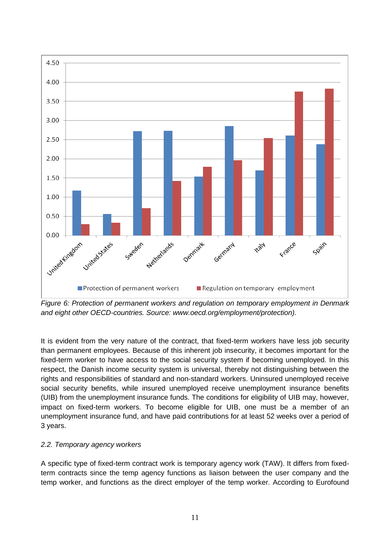

*Figure 6: Protection of permanent workers and regulation on temporary employment in Denmark and eight other OECD-countries. Source: www.oecd.org/employment/protection).*

It is evident from the very nature of the contract, that fixed-term workers have less job security than permanent employees. Because of this inherent job insecurity, it becomes important for the fixed-term worker to have access to the social security system if becoming unemployed. In this respect, the Danish income security system is universal, thereby not distinguishing between the rights and responsibilities of standard and non-standard workers. Uninsured unemployed receive social security benefits, while insured unemployed receive unemployment insurance benefits (UIB) from the unemployment insurance funds. The conditions for eligibility of UIB may, however, impact on fixed-term workers. To become eligible for UIB, one must be a member of an unemployment insurance fund, and have paid contributions for at least 52 weeks over a period of 3 years.

#### *2.2. Temporary agency workers*

A specific type of fixed-term contract work is temporary agency work (TAW). It differs from fixedterm contracts since the temp agency functions as liaison between the user company and the temp worker, and functions as the direct employer of the temp worker. According to Eurofound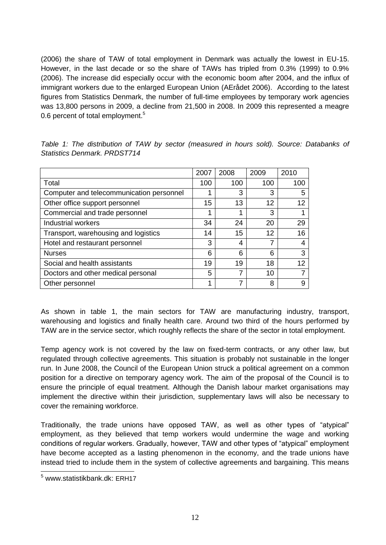(2006) the share of TAW of total employment in Denmark was actually the lowest in EU-15. However, in the last decade or so the share of TAWs has tripled from 0.3% (1999) to 0.9% (2006). The increase did especially occur with the economic boom after 2004, and the influx of immigrant workers due to the enlarged European Union (AErådet 2006). According to the latest figures from Statistics Denmark, the number of full-time employees by temporary work agencies was 13,800 persons in 2009, a decline from 21,500 in 2008. In 2009 this represented a meagre 0.6 percent of total employment.<sup>5</sup>

|                                          | 2007 | 2008 | 2009 | 2010 |
|------------------------------------------|------|------|------|------|
| Total                                    | 100  | 100  | 100  | 100  |
| Computer and telecommunication personnel |      | 3    | 3    | 5    |
| Other office support personnel           | 15   | 13   | 12   | 12   |
| Commercial and trade personnel           |      | 1    | 3    |      |
| Industrial workers                       | 34   | 24   | 20   | 29   |
| Transport, warehousing and logistics     | 14   | 15   | 12   | 16   |
| Hotel and restaurant personnel           | 3    | 4    | 7    |      |
| <b>Nurses</b>                            | 6    | 6    | 6    | 3    |
| Social and health assistants             | 19   | 19   | 18   | 12   |
| Doctors and other medical personal       | 5    | 7    | 10   |      |
| Other personnel                          |      |      | 8    |      |

*Table 1: The distribution of TAW by sector (measured in hours sold). Source: Databanks of Statistics Denmark. PRDST714*

As shown in table 1, the main sectors for TAW are manufacturing industry, transport, warehousing and logistics and finally health care. Around two third of the hours performed by TAW are in the service sector, which roughly reflects the share of the sector in total employment.

Temp agency work is not covered by the law on fixed-term contracts, or any other law, but regulated through collective agreements. This situation is probably not sustainable in the longer run. In June 2008, the Council of the European Union struck a political agreement on a common position for a directive on temporary agency work. The aim of the proposal of the Council is to ensure the principle of equal treatment. Although the Danish labour market organisations may implement the directive within their jurisdiction, supplementary laws will also be necessary to cover the remaining workforce.

Traditionally, the trade unions have opposed TAW, as well as other types of "atypical" employment, as they believed that temp workers would undermine the wage and working conditions of regular workers. Gradually, however, TAW and other types of "atypical" employment have become accepted as a lasting phenomenon in the economy, and the trade unions have instead tried to include them in the system of collective agreements and bargaining. This means

-

<sup>5</sup> www.statistikbank.dk: ERH17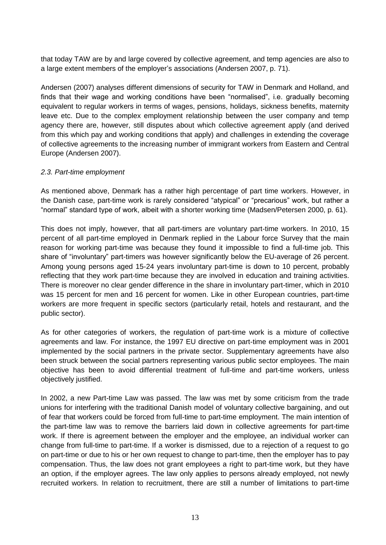that today TAW are by and large covered by collective agreement, and temp agencies are also to a large extent members of the employer's associations (Andersen 2007, p. 71).

Andersen (2007) analyses different dimensions of security for TAW in Denmark and Holland, and finds that their wage and working conditions have been "normalised", i.e. gradually becoming equivalent to regular workers in terms of wages, pensions, holidays, sickness benefits, maternity leave etc. Due to the complex employment relationship between the user company and temp agency there are, however, still disputes about which collective agreement apply (and derived from this which pay and working conditions that apply) and challenges in extending the coverage of collective agreements to the increasing number of immigrant workers from Eastern and Central Europe (Andersen 2007).

#### *2.3. Part-time employment*

As mentioned above, Denmark has a rather high percentage of part time workers. However, in the Danish case, part-time work is rarely considered "atypical" or "precarious" work, but rather a "normal" standard type of work, albeit with a shorter working time (Madsen/Petersen 2000, p. 61).

This does not imply, however, that all part-timers are voluntary part-time workers. In 2010, 15 percent of all part-time employed in Denmark replied in the Labour force Survey that the main reason for working part-time was because they found it impossible to find a full-time job. This share of "involuntary" part-timers was however significantly below the EU-average of 26 percent. Among young persons aged 15-24 years involuntary part-time is down to 10 percent, probably reflecting that they work part-time because they are involved in education and training activities. There is moreover no clear gender difference in the share in involuntary part-timer, which in 2010 was 15 percent for men and 16 percent for women. Like in other European countries, part-time workers are more frequent in specific sectors (particularly retail, hotels and restaurant, and the public sector).

As for other categories of workers, the regulation of part-time work is a mixture of collective agreements and law. For instance, the 1997 EU directive on part-time employment was in 2001 implemented by the social partners in the private sector. Supplementary agreements have also been struck between the social partners representing various public sector employees. The main objective has been to avoid differential treatment of full-time and part-time workers, unless objectively justified.

In 2002, a new Part-time Law was passed. The law was met by some criticism from the trade unions for interfering with the traditional Danish model of voluntary collective bargaining, and out of fear that workers could be forced from full-time to part-time employment. The main intention of the part-time law was to remove the barriers laid down in collective agreements for part-time work. If there is agreement between the employer and the employee, an individual worker can change from full-time to part-time. If a worker is dismissed, due to a rejection of a request to go on part-time or due to his or her own request to change to part-time, then the employer has to pay compensation. Thus, the law does not grant employees a right to part-time work, but they have an option, if the employer agrees. The law only applies to persons already employed, not newly recruited workers. In relation to recruitment, there are still a number of limitations to part-time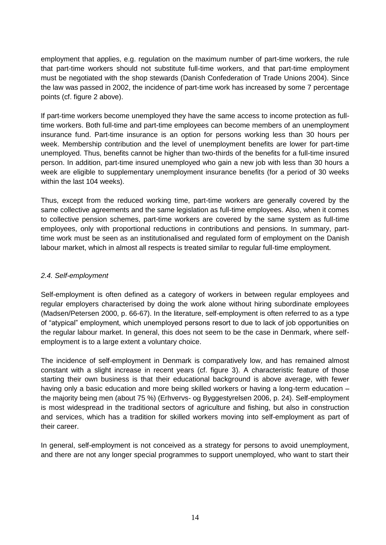employment that applies, e.g. regulation on the maximum number of part-time workers, the rule that part-time workers should not substitute full-time workers, and that part-time employment must be negotiated with the shop stewards (Danish Confederation of Trade Unions 2004). Since the law was passed in 2002, the incidence of part-time work has increased by some 7 percentage points (cf. figure 2 above).

If part-time workers become unemployed they have the same access to income protection as fulltime workers. Both full-time and part-time employees can become members of an unemployment insurance fund. Part-time insurance is an option for persons working less than 30 hours per week. Membership contribution and the level of unemployment benefits are lower for part-time unemployed. Thus, benefits cannot be higher than two-thirds of the benefits for a full-time insured person. In addition, part-time insured unemployed who gain a new job with less than 30 hours a week are eligible to supplementary unemployment insurance benefits (for a period of 30 weeks within the last 104 weeks).

Thus, except from the reduced working time, part-time workers are generally covered by the same collective agreements and the same legislation as full-time employees. Also, when it comes to collective pension schemes, part-time workers are covered by the same system as full-time employees, only with proportional reductions in contributions and pensions. In summary, parttime work must be seen as an institutionalised and regulated form of employment on the Danish labour market, which in almost all respects is treated similar to regular full-time employment.

#### *2.4. Self-employment*

Self-employment is often defined as a category of workers in between regular employees and regular employers characterised by doing the work alone without hiring subordinate employees (Madsen/Petersen 2000, p. 66-67). In the literature, self-employment is often referred to as a type of "atypical" employment, which unemployed persons resort to due to lack of job opportunities on the regular labour market. In general, this does not seem to be the case in Denmark, where selfemployment is to a large extent a voluntary choice.

The incidence of self-employment in Denmark is comparatively low, and has remained almost constant with a slight increase in recent years (cf. figure 3). A characteristic feature of those starting their own business is that their educational background is above average, with fewer having only a basic education and more being skilled workers or having a long-term education – the majority being men (about 75 %) (Erhvervs- og Byggestyrelsen 2006, p. 24). Self-employment is most widespread in the traditional sectors of agriculture and fishing, but also in construction and services, which has a tradition for skilled workers moving into self-employment as part of their career.

In general, self-employment is not conceived as a strategy for persons to avoid unemployment, and there are not any longer special programmes to support unemployed, who want to start their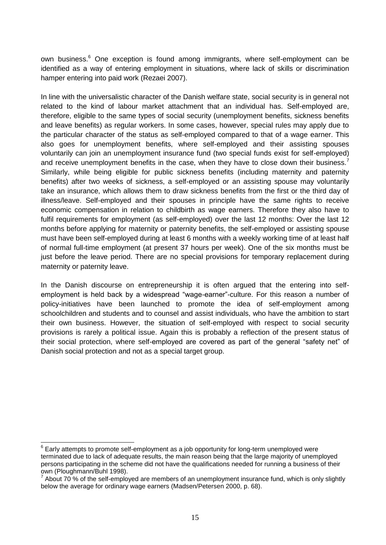own business.<sup>6</sup> One exception is found among immigrants, where self-employment can be identified as a way of entering employment in situations, where lack of skills or discrimination hamper entering into paid work (Rezaei 2007).

In line with the universalistic character of the Danish welfare state, social security is in general not related to the kind of labour market attachment that an individual has. Self-employed are, therefore, eligible to the same types of social security (unemployment benefits, sickness benefits and leave benefits) as regular workers. In some cases, however, special rules may apply due to the particular character of the status as self-employed compared to that of a wage earner. This also goes for unemployment benefits, where self-employed and their assisting spouses voluntarily can join an unemployment insurance fund (two special funds exist for self-employed) and receive unemployment benefits in the case, when they have to close down their business.<sup>7</sup> Similarly, while being eligible for public sickness benefits (including maternity and paternity benefits) after two weeks of sickness, a self-employed or an assisting spouse may voluntarily take an insurance, which allows them to draw sickness benefits from the first or the third day of illness/leave. Self-employed and their spouses in principle have the same rights to receive economic compensation in relation to childbirth as wage earners. Therefore they also have to fulfil requirements for employment (as self-employed) over the last 12 months: Over the last 12 months before applying for maternity or paternity benefits, the self-employed or assisting spouse must have been self-employed during at least 6 months with a weekly working time of at least half of normal full-time employment (at present 37 hours per week). One of the six months must be just before the leave period. There are no special provisions for temporary replacement during maternity or paternity leave.

In the Danish discourse on entrepreneurship it is often argued that the entering into selfemployment is held back by a widespread "wage-earner"-culture. For this reason a number of policy-initiatives have been launched to promote the idea of self-employment among schoolchildren and students and to counsel and assist individuals, who have the ambition to start their own business. However, the situation of self-employed with respect to social security provisions is rarely a political issue. Again this is probably a reflection of the present status of their social protection, where self-employed are covered as part of the general "safety net" of Danish social protection and not as a special target group.

1

 $^6$  Early attempts to promote self-employment as a job opportunity for long-term unemployed were terminated due to lack of adequate results, the main reason being that the large majority of unemployed persons participating in the scheme did not have the qualifications needed for running a business of their own (Ploughmann/Buhl 1998).

 $7$  About 70 % of the self-employed are members of an unemployment insurance fund, which is only slightly below the average for ordinary wage earners (Madsen/Petersen 2000, p. 68).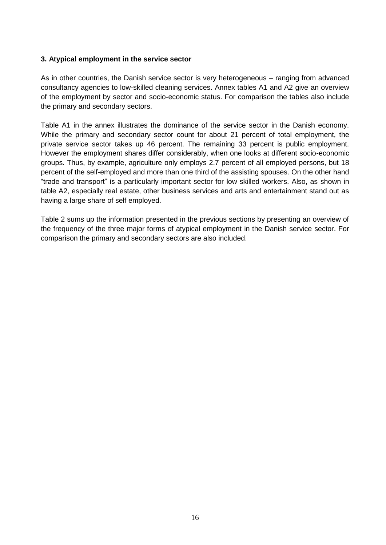#### **3. Atypical employment in the service sector**

As in other countries, the Danish service sector is very heterogeneous – ranging from advanced consultancy agencies to low-skilled cleaning services. Annex tables A1 and A2 give an overview of the employment by sector and socio-economic status. For comparison the tables also include the primary and secondary sectors.

Table A1 in the annex illustrates the dominance of the service sector in the Danish economy. While the primary and secondary sector count for about 21 percent of total employment, the private service sector takes up 46 percent. The remaining 33 percent is public employment. However the employment shares differ considerably, when one looks at different socio-economic groups. Thus, by example, agriculture only employs 2.7 percent of all employed persons, but 18 percent of the self-employed and more than one third of the assisting spouses. On the other hand "trade and transport" is a particularly important sector for low skilled workers. Also, as shown in table A2, especially real estate, other business services and arts and entertainment stand out as having a large share of self employed.

Table 2 sums up the information presented in the previous sections by presenting an overview of the frequency of the three major forms of atypical employment in the Danish service sector. For comparison the primary and secondary sectors are also included.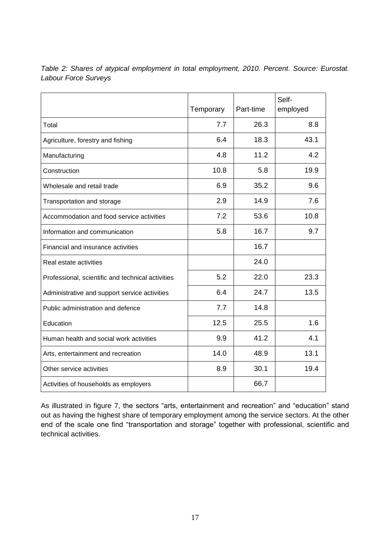|                                                   | Temporary | Part-time | Self-<br>employed |
|---------------------------------------------------|-----------|-----------|-------------------|
| Total                                             | 7.7       | 26.3      | 8.8               |
| Agriculture, forestry and fishing                 | 6.4       | 18.3      | 43.1              |
| Manufacturing                                     | 4.8       | 11.2      | 4.2               |
| Construction                                      | 10.8      | 5.8       | 19.9              |
| Wholesale and retail trade                        | 6.9       | 35.2      | 9.6               |
| Transportation and storage                        | 2.9       | 14.9      | 7.6               |
| Accommodation and food service activities         | 7.2       | 53.6      | 10.8              |
| Information and communication                     | 5.8       | 16.7      | 9.7               |
| Financial and insurance activities                |           | 16.7      |                   |
| Real estate activities                            |           | 24.0      |                   |
| Professional, scientific and technical activities | 5.2       | 22.0      | 23.3              |
| Administrative and support service activities     | 6.4       | 24.7      | 13.5              |
| Public administration and defence                 | 7.7       | 14.8      |                   |
| Education                                         | 12.5      | 25.5      | 1.6               |
| Human health and social work activities           | 9.9       | 41.2      | 4.1               |
| Arts, entertainment and recreation                | 14.0      | 48.9      | 13.1              |
| Other service activities                          | 8.9       | 30.1      | 19.4              |
| Activities of households as employers             |           | 66.7      |                   |

*Table 2: Shares of atypical employment in total employment, 2010. Percent. Source: Eurostat. Labour Force Surveys*

As illustrated in figure 7, the sectors "arts, entertainment and recreation" and "education" stand out as having the highest share of temporary employment among the service sectors. At the other end of the scale one find "transportation and storage" together with professional, scientific and technical activities.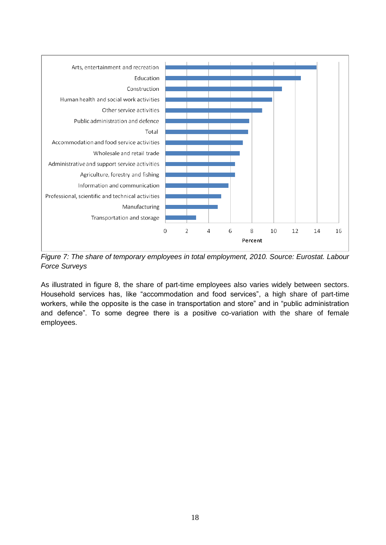

*Figure 7: The share of temporary employees in total employment, 2010. Source: Eurostat. Labour Force Surveys*

As illustrated in figure 8, the share of part-time employees also varies widely between sectors. Household services has, like "accommodation and food services", a high share of part-time workers, while the opposite is the case in transportation and store" and in "public administration and defence". To some degree there is a positive co-variation with the share of female employees.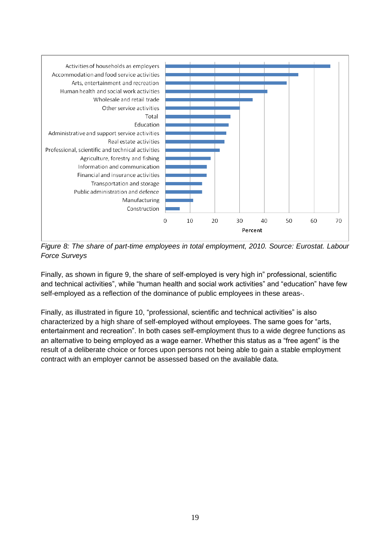

*Figure 8: The share of part-time employees in total employment, 2010. Source: Eurostat. Labour Force Surveys*

Finally, as shown in figure 9, the share of self-employed is very high in" professional, scientific and technical activities", while "human health and social work activities" and "education" have few self-employed as a reflection of the dominance of public employees in these areas-.

Finally, as illustrated in figure 10, "professional, scientific and technical activities" is also characterized by a high share of self-employed without employees. The same goes for "arts, entertainment and recreation". In both cases self-employment thus to a wide degree functions as an alternative to being employed as a wage earner. Whether this status as a "free agent" is the result of a deliberate choice or forces upon persons not being able to gain a stable employment contract with an employer cannot be assessed based on the available data.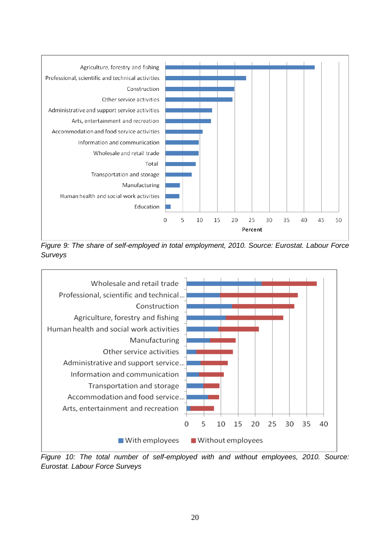

*Figure 9: The share of self-employed in total employment, 2010. Source: Eurostat. Labour Force Surveys*



*Figure 10: The total number of self-employed with and without employees, 2010. Source: Eurostat. Labour Force Surveys*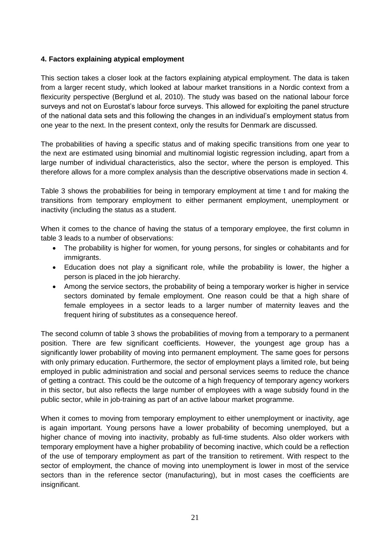#### **4. Factors explaining atypical employment**

This section takes a closer look at the factors explaining atypical employment. The data is taken from a larger recent study, which looked at labour market transitions in a Nordic context from a flexicurity perspective (Berglund et al, 2010). The study was based on the national labour force surveys and not on Eurostat's labour force surveys. This allowed for exploiting the panel structure of the national data sets and this following the changes in an individual's employment status from one year to the next. In the present context, only the results for Denmark are discussed.

The probabilities of having a specific status and of making specific transitions from one year to the next are estimated using binomial and multinomial logistic regression including, apart from a large number of individual characteristics, also the sector, where the person is employed. This therefore allows for a more complex analysis than the descriptive observations made in section 4.

Table 3 shows the probabilities for being in temporary employment at time t and for making the transitions from temporary employment to either permanent employment, unemployment or inactivity (including the status as a student.

When it comes to the chance of having the status of a temporary employee, the first column in table 3 leads to a number of observations:

- The probability is higher for women, for young persons, for singles or cohabitants and for immigrants.
- Education does not play a significant role, while the probability is lower, the higher a person is placed in the job hierarchy.
- Among the service sectors, the probability of being a temporary worker is higher in service sectors dominated by female employment. One reason could be that a high share of female employees in a sector leads to a larger number of maternity leaves and the frequent hiring of substitutes as a consequence hereof.

The second column of table 3 shows the probabilities of moving from a temporary to a permanent position. There are few significant coefficients. However, the youngest age group has a significantly lower probability of moving into permanent employment. The same goes for persons with only primary education. Furthermore, the sector of employment plays a limited role, but being employed in public administration and social and personal services seems to reduce the chance of getting a contract. This could be the outcome of a high frequency of temporary agency workers in this sector, but also reflects the large number of employees with a wage subsidy found in the public sector, while in job-training as part of an active labour market programme.

When it comes to moving from temporary employment to either unemployment or inactivity, age is again important. Young persons have a lower probability of becoming unemployed, but a higher chance of moving into inactivity, probably as full-time students. Also older workers with temporary employment have a higher probability of becoming inactive, which could be a reflection of the use of temporary employment as part of the transition to retirement. With respect to the sector of employment, the chance of moving into unemployment is lower in most of the service sectors than in the reference sector (manufacturing), but in most cases the coefficients are insignificant.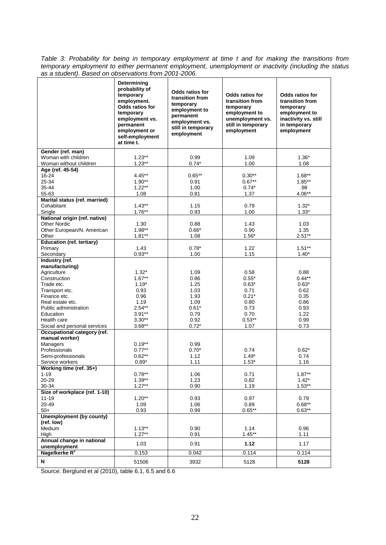*Table 3: Probability for being in temporary employment at time t and for making the transitions from temporary employment to either permanent employment, unemployment or inactivity (including the status as a student). Based on observations from 2001-2006.* 

|                                            | Determining<br>probability of<br>temporary<br>employment.<br>Odds ratios for<br>temporary<br>employment vs.<br>permanent<br>employment or<br>self-employment<br>at time t. | <b>Odds ratios for</b><br>transition from<br>temporary<br>employment to<br>permanent<br>employment vs.<br>still in temporary<br>employment | <b>Odds ratios for</b><br>transition from<br>temporary<br>employment to<br>unemployment vs.<br>still in temporary<br>employment | <b>Odds ratios for</b><br>transition from<br>temporary<br>employment to<br>inactivity vs. still<br>in temporary<br>employment |
|--------------------------------------------|----------------------------------------------------------------------------------------------------------------------------------------------------------------------------|--------------------------------------------------------------------------------------------------------------------------------------------|---------------------------------------------------------------------------------------------------------------------------------|-------------------------------------------------------------------------------------------------------------------------------|
| Gender (ref. man)                          |                                                                                                                                                                            |                                                                                                                                            |                                                                                                                                 |                                                                                                                               |
| Woman with children                        | $1.23**$                                                                                                                                                                   | 0.99                                                                                                                                       | 1.09                                                                                                                            | $1.36*$                                                                                                                       |
| Woman without children<br>Age (ref. 45-54) | $1.23**$                                                                                                                                                                   | $0.74*$                                                                                                                                    | 1.00                                                                                                                            | 1.08                                                                                                                          |
| 16-24                                      | $4.45***$                                                                                                                                                                  | $0.65***$                                                                                                                                  | $0.30**$                                                                                                                        | $1.68***$                                                                                                                     |
| 25-34                                      | $1.90**$                                                                                                                                                                   | 0.91                                                                                                                                       | $0.67**$                                                                                                                        | $1.85***$                                                                                                                     |
| 35-44                                      | $1.22**$                                                                                                                                                                   | 1.00                                                                                                                                       | $0.74*$                                                                                                                         | .98                                                                                                                           |
| 55-63                                      | 1.08                                                                                                                                                                       | 0.81                                                                                                                                       | 1.37                                                                                                                            | 4.06**                                                                                                                        |
| Marital status (ref. married)              |                                                                                                                                                                            |                                                                                                                                            |                                                                                                                                 |                                                                                                                               |
| Cohabitant                                 | $1.43**$                                                                                                                                                                   | 1.15                                                                                                                                       | 0.79                                                                                                                            | $1.32*$                                                                                                                       |
| Single                                     | $1.76***$                                                                                                                                                                  | 0.93                                                                                                                                       | 1.00                                                                                                                            | $1.33*$                                                                                                                       |
| National origin (ref. native)              |                                                                                                                                                                            |                                                                                                                                            |                                                                                                                                 |                                                                                                                               |
| <b>Other Nordic</b>                        | 1.30                                                                                                                                                                       | 0.88                                                                                                                                       | 1.43                                                                                                                            | 1.03                                                                                                                          |
| Other European/N. American<br>Other        | $1.98**$<br>$1.81**$                                                                                                                                                       | $0.66*$<br>1.08                                                                                                                            | 0.90<br>$1.56*$                                                                                                                 | 1.35<br>$2.51**$                                                                                                              |
| <b>Education (ref. tertiary)</b>           |                                                                                                                                                                            |                                                                                                                                            |                                                                                                                                 |                                                                                                                               |
| Primary                                    | 1.43                                                                                                                                                                       | $0.78*$                                                                                                                                    | 1.22                                                                                                                            | $1.51***$                                                                                                                     |
| Secondary                                  | $0.93**$                                                                                                                                                                   | 1.00                                                                                                                                       | 1.15                                                                                                                            | $1.40*$                                                                                                                       |
| Industry (ref.                             |                                                                                                                                                                            |                                                                                                                                            |                                                                                                                                 |                                                                                                                               |
| manufacturing)                             |                                                                                                                                                                            |                                                                                                                                            |                                                                                                                                 |                                                                                                                               |
| Agriculture                                | $1.32*$                                                                                                                                                                    | 1.09                                                                                                                                       | 0.58                                                                                                                            | 0.88                                                                                                                          |
| Construction                               | $1.67***$                                                                                                                                                                  | 0.86                                                                                                                                       | $0.55*$                                                                                                                         | $0.44***$                                                                                                                     |
| Trade etc.                                 | $1.19*$                                                                                                                                                                    | 1.25                                                                                                                                       | $0.63*$                                                                                                                         | $0.63*$                                                                                                                       |
| Transport etc.<br>Finance etc.             | 0.93<br>0.96                                                                                                                                                               | 1.03<br>1.93                                                                                                                               | 0.71<br>$0.21*$                                                                                                                 | 0.62<br>0.35                                                                                                                  |
| Real estate etc.                           | 1.19                                                                                                                                                                       | 1.09                                                                                                                                       | 0.80                                                                                                                            | 0.86                                                                                                                          |
| Public administration                      | $2.54***$                                                                                                                                                                  | $0.61*$                                                                                                                                    | 0.73                                                                                                                            | 0.93                                                                                                                          |
| Education                                  | $3.91**$                                                                                                                                                                   | 0.79                                                                                                                                       | 0.70                                                                                                                            | 1.22                                                                                                                          |
| Health care                                | $3.30**$                                                                                                                                                                   | 0.92                                                                                                                                       | $0.53**$                                                                                                                        | 0.99                                                                                                                          |
| Social and personal services               | $3.68**$                                                                                                                                                                   | $0.72*$                                                                                                                                    | 1.07                                                                                                                            | 0.73                                                                                                                          |
| Occupational category (ref.                |                                                                                                                                                                            |                                                                                                                                            |                                                                                                                                 |                                                                                                                               |
| manual worker)                             |                                                                                                                                                                            |                                                                                                                                            |                                                                                                                                 |                                                                                                                               |
| Managers<br>Professionals                  | $0.19**$<br>$0.77***$                                                                                                                                                      | 0.99<br>$0.70*$                                                                                                                            |                                                                                                                                 |                                                                                                                               |
| Semi-professionals                         | $0.62**$                                                                                                                                                                   | 1.12                                                                                                                                       | 0.74<br>$1.49*$                                                                                                                 | $0.62*$<br>0.74                                                                                                               |
| Service workers                            | $0.89*$                                                                                                                                                                    | 1.11                                                                                                                                       | $1.53*$                                                                                                                         | 1.16                                                                                                                          |
| Working time (ref. 35+)                    |                                                                                                                                                                            |                                                                                                                                            |                                                                                                                                 |                                                                                                                               |
| 1-19                                       | $0.78**$                                                                                                                                                                   | 1.06                                                                                                                                       | 0.71                                                                                                                            | $1.87**$                                                                                                                      |
| $20 - 29$                                  | $1.39**$                                                                                                                                                                   | 1.23                                                                                                                                       | 0.82                                                                                                                            | $1.42*$                                                                                                                       |
| 30-34                                      | $1.27**$                                                                                                                                                                   | 0.90                                                                                                                                       | 1.19                                                                                                                            | $1.53**$                                                                                                                      |
| Size of workplace (ref. 1-10)              |                                                                                                                                                                            |                                                                                                                                            |                                                                                                                                 |                                                                                                                               |
| $11 - 19$                                  | $1.20**$                                                                                                                                                                   | 0.93                                                                                                                                       | 0.97                                                                                                                            | 0.79                                                                                                                          |
| 20-49<br>$50+$                             | 1.09                                                                                                                                                                       | 1.06                                                                                                                                       | 0.89                                                                                                                            | $0.68**$                                                                                                                      |
| <b>Unemployment (by county)</b>            | 0.93                                                                                                                                                                       | 0.99                                                                                                                                       | $0.65**$                                                                                                                        | $0.63**$                                                                                                                      |
| (ref. low)                                 |                                                                                                                                                                            |                                                                                                                                            |                                                                                                                                 |                                                                                                                               |
| Medium                                     | $1.13**$                                                                                                                                                                   | 0.90                                                                                                                                       | 1.14                                                                                                                            | 0.96                                                                                                                          |
| High                                       | $1.27**$                                                                                                                                                                   | 0.91                                                                                                                                       | $1.45**$                                                                                                                        | 1.11                                                                                                                          |
| Annual change in national<br>unemployment  | 1.03                                                                                                                                                                       | 0.91                                                                                                                                       | 1.12                                                                                                                            | 1.17                                                                                                                          |
| Nagelkerke R <sup>2</sup>                  | 0.153                                                                                                                                                                      | 0.042                                                                                                                                      | 0.114                                                                                                                           | 0.114                                                                                                                         |
| N                                          | 51506                                                                                                                                                                      | 3932                                                                                                                                       | 5128                                                                                                                            | 5128                                                                                                                          |

Source: Berglund et al (2010), table 6.1, 6.5 and 6.6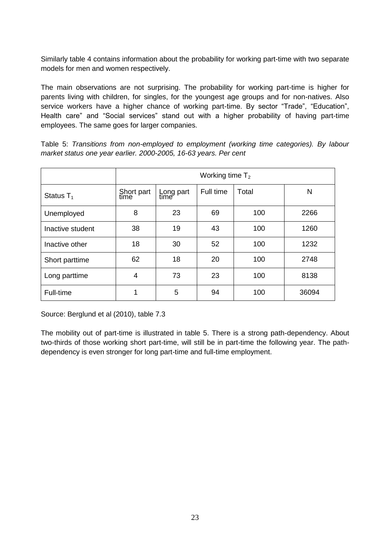Similarly table 4 contains information about the probability for working part-time with two separate models for men and women respectively.

The main observations are not surprising. The probability for working part-time is higher for parents living with children, for singles, for the youngest age groups and for non-natives. Also service workers have a higher chance of working part-time. By sector "Trade", "Education", Health care" and "Social services" stand out with a higher probability of having part-time employees. The same goes for larger companies.

Table 5: *Transitions from non-employed to employment (working time categories). By labour market status one year earlier. 2000-2005, 16-63 years. Per cent*

|                  | Working time $T_2$ |                   |           |       |       |  |
|------------------|--------------------|-------------------|-----------|-------|-------|--|
| Status $T_1$     | Short part<br>time | Long part<br>time | Full time | Total | N     |  |
| Unemployed       | 8                  | 23                | 69        | 100   | 2266  |  |
| Inactive student | 38                 | 19                | 43        | 100   | 1260  |  |
| Inactive other   | 18                 | 30                | 52        | 100   | 1232  |  |
| Short parttime   | 62                 | 18                | 20        | 100   | 2748  |  |
| Long parttime    | 4                  | 73                | 23        | 100   | 8138  |  |
| Full-time        | 1                  | 5                 | 94        | 100   | 36094 |  |

Source: Berglund et al (2010), table 7.3

The mobility out of part-time is illustrated in table 5. There is a strong path-dependency. About two-thirds of those working short part-time, will still be in part-time the following year. The pathdependency is even stronger for long part-time and full-time employment.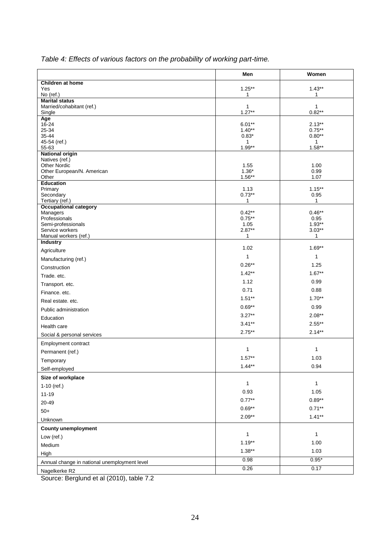|                                                 | Men                 | Women                 |
|-------------------------------------------------|---------------------|-----------------------|
| Children at home                                |                     |                       |
| Yes<br>No (ref.)                                | $1.25***$<br>1      | $1.43**$<br>1         |
| <b>Marital status</b>                           |                     |                       |
| Married/cohabitant (ref.)                       | $\mathbf{1}$        | 1                     |
| Single<br>Age                                   | $1.27**$            | $0.82**$              |
| 16-24                                           | $6.01**$            | $2.13***$             |
| 25-34<br>35-44                                  | $1.40**$<br>$0.83*$ | $0.75***$<br>$0.80**$ |
| 45-54 (ref.)                                    | $\mathbf{1}$        | 1                     |
| 55-63                                           | $1.99**$            | $1.58**$              |
| <b>National origin</b><br>Natives (ref.)        |                     |                       |
| <b>Other Nordic</b>                             | 1.55                | 1.00                  |
| Other European/N. American                      | $1.36*$             | 0.99                  |
| Other<br><b>Education</b>                       | $1.56***$           | 1.07                  |
| Primary                                         | 1.13                | $1.15***$             |
| Secondary                                       | $0.73**$            | 0.95                  |
| Tertiary (ref.)<br><b>Occupational category</b> | 1                   | 1                     |
| Managers                                        | $0.42**$            | $0.46**$              |
| Professionals<br>Semi-professionals             | $0.75***$<br>1.05   | 0.95<br>$1.93**$      |
| Service workers                                 | $2.87**$            | $3.03**$              |
| Manual workers (ref.)                           | 1                   | 1                     |
| Industry                                        | 1.02                | $1.69**$              |
| Agriculture                                     | 1                   | 1                     |
| Manufacturing (ref.)                            | $0.26**$            | 1.25                  |
| Construction                                    | $1.42**$            | $1.67***$             |
| Trade. etc.                                     | 1.12                | 0.99                  |
| Transport. etc.                                 | 0.71                | 0.88                  |
| Finance. etc.                                   | $1.51**$            | $1.70**$              |
| Real estate. etc.                               |                     |                       |
| Public administration                           | $0.69**$            | 0.99                  |
| Education                                       | $3.27**$            | $2.08**$              |
| Health care                                     | $3.41**$            | $2.55***$             |
| Social & personal services                      | $2.75***$           | $2.14***$             |
| Employment contract                             |                     |                       |
| Permanent (ref.)                                | 1                   | 1                     |
| I emporary                                      | $1.57**$            | 1.03                  |
| Self-employed                                   | $1.44**$            | 0.94                  |
| Size of workplace                               |                     |                       |
| $1-10$ (ref.)                                   | $\mathbf{1}$        | 1                     |
| $11 - 19$                                       | 0.93                | 1.05                  |
| 20-49                                           | $0.77**$            | $0.89**$              |
| $50+$                                           | $0.69**$            | $0.71**$              |
| Unknown                                         | $2.09**$            | $1.41**$              |
| <b>County unemployment</b>                      |                     |                       |
| Low (ref.)                                      | 1                   | 1                     |
| Medium                                          | $1.19**$            | 1.00                  |
| High                                            | $1.38**$            | 1.03                  |
| Annual change in national unemployment level    | 0.98                | $0.95*$               |
|                                                 | 0.26                | 0.17                  |
| Nagelkerke R2                                   |                     |                       |

*Table 4: Effects of various factors on the probability of working part-time.* 

Source: Berglund et al (2010), table 7.2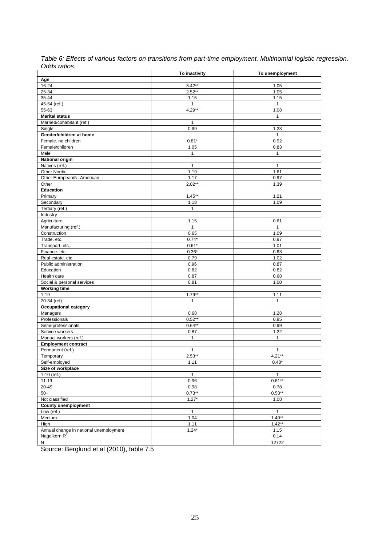| ouuo ruuoo.                            | To inactivity  | To unemployment |
|----------------------------------------|----------------|-----------------|
|                                        |                |                 |
| Age<br>16-24                           | $3.42**$       |                 |
|                                        | $2.52**$       | 1.05            |
| 25-34                                  |                | 1.05            |
| 35-44                                  | 1.15           | 1.15            |
| 45-54 (ref.)                           | $\overline{1}$ | $\mathbf{1}$    |
| 55-63                                  | 4.29**         | 1.08            |
| <b>Marital status</b>                  |                | $\mathbf{1}$    |
| Married/cohabitant (ref.)              | $\mathbf{1}$   |                 |
| Single                                 | 0.99           | 1.23            |
| Gender/children at home                |                | $\mathbf{1}$    |
| Female. no children                    | $0.81*$        | 0.92            |
| Female/children                        | 1.05           | 0.83            |
| Male                                   | 1              | $\mathbf{1}$    |
| <b>National origin</b>                 |                |                 |
| Natives (ref.)                         | 1              | $\mathbf{1}$    |
| Other Nordic                           | 1.19           | 1.61            |
| Other European/N. American             | 1.17           | 0.97            |
| Other                                  | $2.02**$       | 1.39            |
| <b>Education</b>                       |                |                 |
| Primary                                | $1.45**$       | 1.21            |
| Secondary                              | 1.18           | 1.09            |
| Tertiary (ref.)                        | $\mathbf{1}$   |                 |
| Industry                               |                |                 |
| Agriculture                            | 1.15           | 0.61            |
| Manufacturing (ref.)                   | $\mathbf{1}$   | $\mathbf{1}$    |
| Construction                           | 0.65           | 1.09            |
| Trade. etc.                            | $0.74*$        | 0.97            |
| Transport. etc.                        | $0.61*$        | 1.01            |
| Finance. etc.                          | $0.36*$        | 0.63            |
|                                        | 0.79           | 1.02            |
| Real estate. etc.                      |                |                 |
| Public administration                  | 0.96           | 0.87            |
| Education                              | 0.82           | 0.82            |
| Health care                            | 0.87           | 0.68            |
| Social & personal services             | 0.81           | 1.00            |
| <b>Working time</b>                    |                |                 |
| $1 - 19$                               | $1.79**$       | 1.11            |
| 20-34 (ref)                            | 1              | $\mathbf{1}$    |
| <b>Occupational category</b>           |                |                 |
| Managers                               | 0.68           | 1.28            |
| Professionals                          | $0.52**$       | 0.85            |
| Semi-professionals                     | $0.64***$      | 0.99            |
| Service workers                        | 0.87           | 1.22            |
| Manual workers (ref.)                  | $\mathbf{1}$   | $\mathbf{1}$    |
| <b>Employment contract</b>             |                |                 |
| Permanent (ref.)                       | 1              | 1               |
| Temporary                              | $2.53**$       | $4.21**$        |
| Self-employed                          | 1.11           | $0.48*$         |
| Size of workplace                      |                |                 |
| 1-10 (ref.)                            | $\mathbf{1}$   | $\mathbf{1}$    |
| 11.19                                  | 0.96           | $0.61**$        |
| 20-49                                  | 0.98           | 0.78            |
| $50+$                                  | $0.73**$       | $0.53**$        |
| Not classified                         | $1.27*$        | 1.08            |
| <b>County unemployment</b>             |                |                 |
| Low (ref.)                             | $\mathbf{1}$   | $\mathbf{1}$    |
| Medium                                 | 1.04           | $1.40**$        |
| High                                   | 1.11           | $1.42**$        |
| Annual change in national unemployment | $1.24*$        | 1.15            |
| Nagelkern R <sup>2</sup>               |                | 0.14            |
|                                        |                | 12722           |
| N                                      |                |                 |

*Table 6: Effects of various factors on transitions from part-time employment. Multinomial logistic regression. Odds ratios.*

Source: Berglund et al (2010), table 7.5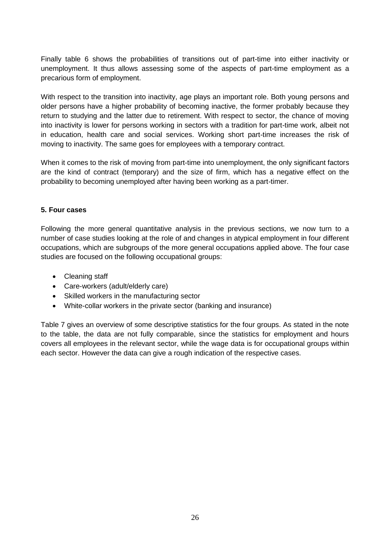Finally table 6 shows the probabilities of transitions out of part-time into either inactivity or unemployment. It thus allows assessing some of the aspects of part-time employment as a precarious form of employment.

With respect to the transition into inactivity, age plays an important role. Both young persons and older persons have a higher probability of becoming inactive, the former probably because they return to studying and the latter due to retirement. With respect to sector, the chance of moving into inactivity is lower for persons working in sectors with a tradition for part-time work, albeit not in education, health care and social services. Working short part-time increases the risk of moving to inactivity. The same goes for employees with a temporary contract.

When it comes to the risk of moving from part-time into unemployment, the only significant factors are the kind of contract (temporary) and the size of firm, which has a negative effect on the probability to becoming unemployed after having been working as a part-timer.

#### **5. Four cases**

Following the more general quantitative analysis in the previous sections, we now turn to a number of case studies looking at the role of and changes in atypical employment in four different occupations, which are subgroups of the more general occupations applied above. The four case studies are focused on the following occupational groups:

- Cleaning staff
- Care-workers (adult/elderly care)
- Skilled workers in the manufacturing sector
- White-collar workers in the private sector (banking and insurance)

Table 7 gives an overview of some descriptive statistics for the four groups. As stated in the note to the table, the data are not fully comparable, since the statistics for employment and hours covers all employees in the relevant sector, while the wage data is for occupational groups within each sector. However the data can give a rough indication of the respective cases.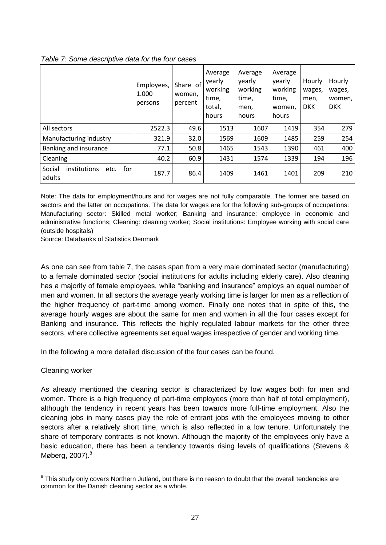|                                                 | Employees,<br>1.000<br>persons | Share of<br>women,<br>percent | Average<br>yearly<br>working<br>time,<br>total,<br>hours | Average<br>yearly<br>working<br>time,<br>men,<br>hours | Average<br>yearly<br>working<br>time,<br>women,<br>hours | Hourly<br>wages,<br>men,<br><b>DKK</b> | Hourly<br>wages,<br>women,<br><b>DKK</b> |
|-------------------------------------------------|--------------------------------|-------------------------------|----------------------------------------------------------|--------------------------------------------------------|----------------------------------------------------------|----------------------------------------|------------------------------------------|
| All sectors                                     | 2522.3                         | 49.6                          | 1513                                                     | 1607                                                   | 1419                                                     | 354                                    | 279                                      |
| Manufacturing industry                          | 321.9                          | 32.0                          | 1569                                                     | 1609                                                   | 1485                                                     | 259                                    | 254                                      |
| Banking and insurance                           | 77.1                           | 50.8                          | 1465                                                     | 1543                                                   | 1390                                                     | 461                                    | 400                                      |
| Cleaning                                        | 40.2                           | 60.9                          | 1431                                                     | 1574                                                   | 1339                                                     | 194                                    | 196                                      |
| for<br>Social<br>institutions<br>etc.<br>adults | 187.7                          | 86.4                          | 1409                                                     | 1461                                                   | 1401                                                     | 209                                    | 210                                      |

#### *Table 7: Some descriptive data for the four cases*

Note: The data for employment/hours and for wages are not fully comparable. The former are based on sectors and the latter on occupations. The data for wages are for the following sub-groups of occupations: Manufacturing sector: Skilled metal worker; Banking and insurance: employee in economic and administrative functions; Cleaning: cleaning worker; Social institutions: Employee working with social care (outside hospitals)

Source: Databanks of Statistics Denmark

As one can see from table 7, the cases span from a very male dominated sector (manufacturing) to a female dominated sector (social institutions for adults including elderly care). Also cleaning has a majority of female employees, while "banking and insurance" employs an equal number of men and women. In all sectors the average yearly working time is larger for men as a reflection of the higher frequency of part-time among women. Finally one notes that in spite of this, the average hourly wages are about the same for men and women in all the four cases except for Banking and insurance. This reflects the highly regulated labour markets for the other three sectors, where collective agreements set equal wages irrespective of gender and working time.

In the following a more detailed discussion of the four cases can be found.

#### Cleaning worker

As already mentioned the cleaning sector is characterized by low wages both for men and women. There is a high frequency of part-time employees (more than half of total employment), although the tendency in recent years has been towards more full-time employment. Also the cleaning jobs in many cases play the role of entrant jobs with the employees moving to other sectors after a relatively short time, which is also reflected in a low tenure. Unfortunately the share of temporary contracts is not known. Although the majority of the employees only have a basic education, there has been a tendency towards rising levels of qualifications (Stevens & Møberg,  $2007$ ). $8$ 

<sup>1</sup> <sup>8</sup> This study only covers Northern Jutland, but there is no reason to doubt that the overall tendencies are common for the Danish cleaning sector as a whole.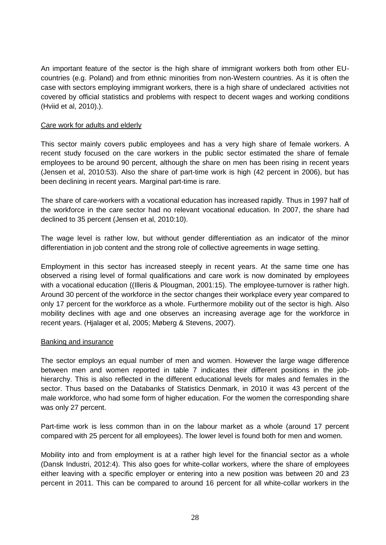An important feature of the sector is the high share of immigrant workers both from other EUcountries (e.g. Poland) and from ethnic minorities from non-Western countries. As it is often the case with sectors employing immigrant workers, there is a high share of undeclared activities not covered by official statistics and problems with respect to decent wages and working conditions (Hviid et al, 2010).).

#### Care work for adults and elderly

This sector mainly covers public employees and has a very high share of female workers. A recent study focused on the care workers in the public sector estimated the share of female employees to be around 90 percent, although the share on men has been rising in recent years (Jensen et al, 2010:53). Also the share of part-time work is high (42 percent in 2006), but has been declining in recent years. Marginal part-time is rare.

The share of care-workers with a vocational education has increased rapidly. Thus in 1997 half of the workforce in the care sector had no relevant vocational education. In 2007, the share had declined to 35 percent (Jensen et al, 2010:10).

The wage level is rather low, but without gender differentiation as an indicator of the minor differentiation in job content and the strong role of collective agreements in wage setting.

Employment in this sector has increased steeply in recent years. At the same time one has observed a rising level of formal qualifications and care work is now dominated by employees with a vocational education ((Illeris & Plougman, 2001:15). The employee-turnover is rather high. Around 30 percent of the workforce in the sector changes their workplace every year compared to only 17 percent for the workforce as a whole. Furthermore mobility out of the sector is high. Also mobility declines with age and one observes an increasing average age for the workforce in recent years. (Hjalager et al, 2005; Møberg & Stevens, 2007).

#### Banking and insurance

The sector employs an equal number of men and women. However the large wage difference between men and women reported in table 7 indicates their different positions in the jobhierarchy. This is also reflected in the different educational levels for males and females in the sector. Thus based on the Databanks of Statistics Denmark, in 2010 it was 43 percent of the male workforce, who had some form of higher education. For the women the corresponding share was only 27 percent.

Part-time work is less common than in on the labour market as a whole (around 17 percent compared with 25 percent for all employees). The lower level is found both for men and women.

Mobility into and from employment is at a rather high level for the financial sector as a whole (Dansk Industri, 2012:4). This also goes for white-collar workers, where the share of employees either leaving with a specific employer or entering into a new position was between 20 and 23 percent in 2011. This can be compared to around 16 percent for all white-collar workers in the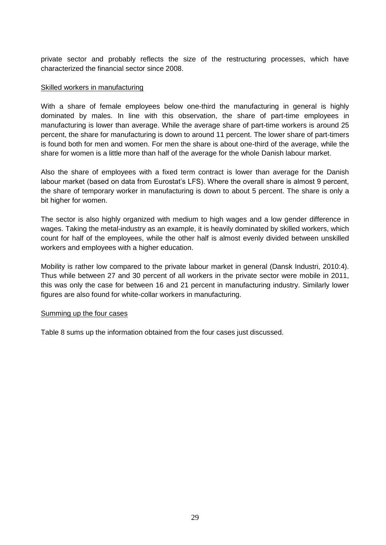private sector and probably reflects the size of the restructuring processes, which have characterized the financial sector since 2008.

#### Skilled workers in manufacturing

With a share of female employees below one-third the manufacturing in general is highly dominated by males. In line with this observation, the share of part-time employees in manufacturing is lower than average. While the average share of part-time workers is around 25 percent, the share for manufacturing is down to around 11 percent. The lower share of part-timers is found both for men and women. For men the share is about one-third of the average, while the share for women is a little more than half of the average for the whole Danish labour market.

Also the share of employees with a fixed term contract is lower than average for the Danish labour market (based on data from Eurostat's LFS). Where the overall share is almost 9 percent, the share of temporary worker in manufacturing is down to about 5 percent. The share is only a bit higher for women.

The sector is also highly organized with medium to high wages and a low gender difference in wages. Taking the metal-industry as an example, it is heavily dominated by skilled workers, which count for half of the employees, while the other half is almost evenly divided between unskilled workers and employees with a higher education.

Mobility is rather low compared to the private labour market in general (Dansk Industri, 2010:4). Thus while between 27 and 30 percent of all workers in the private sector were mobile in 2011, this was only the case for between 16 and 21 percent in manufacturing industry. Similarly lower figures are also found for white-collar workers in manufacturing.

#### Summing up the four cases

Table 8 sums up the information obtained from the four cases just discussed.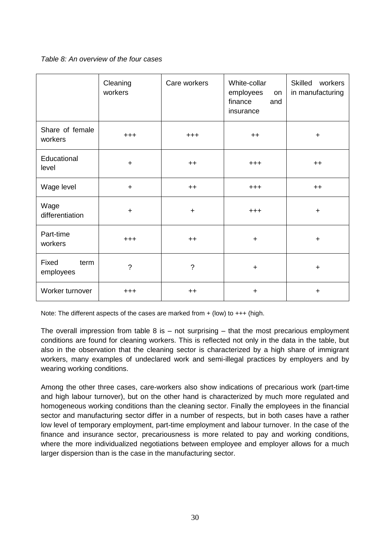*Table 8: An overview of the four cases*

|                            | Cleaning<br>workers      | Care workers   | White-collar<br>employees<br>on<br>finance<br>and<br>insurance | Skilled workers<br>in manufacturing |
|----------------------------|--------------------------|----------------|----------------------------------------------------------------|-------------------------------------|
| Share of female<br>workers | $+ + +$                  | $+ + +$        | $++$                                                           | $\ddot{}$                           |
| Educational<br>level       | $\ddot{}$                | $++$           | $+ + +$                                                        | $++$                                |
| Wage level                 | $\ddot{}$                | $++$           | $^{+++}$                                                       | $++$                                |
| Wage<br>differentiation    | $\ddot{}$                | $\ddot{}$      | $+ + +$                                                        | $\ddot{}$                           |
| Part-time<br>workers       | $+ + +$                  | $++$           | $\ddot{}$                                                      | $\ddot{}$                           |
| Fixed<br>term<br>employees | $\overline{\phantom{0}}$ | $\overline{?}$ | $\ddot{}$                                                      | $\ddot{}$                           |
| Worker turnover            | $+ + +$                  | $++$           | $\ddot{}$                                                      | $\ddot{}$                           |

Note: The different aspects of the cases are marked from + (low) to +++ (high.

The overall impression from table  $8$  is  $-$  not surprising  $-$  that the most precarious employment conditions are found for cleaning workers. This is reflected not only in the data in the table, but also in the observation that the cleaning sector is characterized by a high share of immigrant workers, many examples of undeclared work and semi-illegal practices by employers and by wearing working conditions.

Among the other three cases, care-workers also show indications of precarious work (part-time and high labour turnover), but on the other hand is characterized by much more regulated and homogeneous working conditions than the cleaning sector. Finally the employees in the financial sector and manufacturing sector differ in a number of respects, but in both cases have a rather low level of temporary employment, part-time employment and labour turnover. In the case of the finance and insurance sector, precariousness is more related to pay and working conditions, where the more individualized negotiations between employee and employer allows for a much larger dispersion than is the case in the manufacturing sector.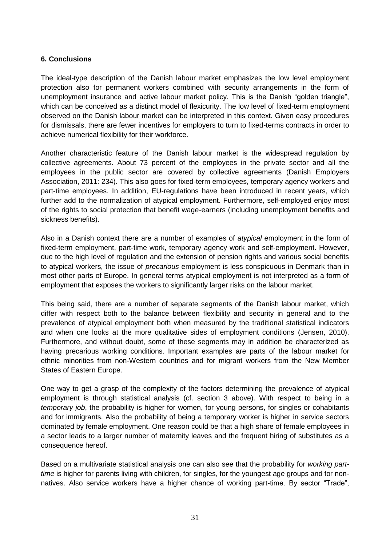#### **6. Conclusions**

The ideal-type description of the Danish labour market emphasizes the low level employment protection also for permanent workers combined with security arrangements in the form of unemployment insurance and active labour market policy. This is the Danish "golden triangle", which can be conceived as a distinct model of flexicurity. The low level of fixed-term employment observed on the Danish labour market can be interpreted in this context. Given easy procedures for dismissals, there are fewer incentives for employers to turn to fixed-terms contracts in order to achieve numerical flexibility for their workforce.

Another characteristic feature of the Danish labour market is the widespread regulation by collective agreements. About 73 percent of the employees in the private sector and all the employees in the public sector are covered by collective agreements (Danish Employers Association, 2011: 234). This also goes for fixed-term employees, temporary agency workers and part-time employees. In addition, EU-regulations have been introduced in recent years, which further add to the normalization of atypical employment. Furthermore, self-employed enjoy most of the rights to social protection that benefit wage-earners (including unemployment benefits and sickness benefits).

Also in a Danish context there are a number of examples of *atypical* employment in the form of fixed-term employment, part-time work, temporary agency work and self-employment. However, due to the high level of regulation and the extension of pension rights and various social benefits to atypical workers, the issue of *precarious* employment is less conspicuous in Denmark than in most other parts of Europe. In general terms atypical employment is not interpreted as a form of employment that exposes the workers to significantly larger risks on the labour market.

This being said, there are a number of separate segments of the Danish labour market, which differ with respect both to the balance between flexibility and security in general and to the prevalence of atypical employment both when measured by the traditional statistical indicators and when one looks at the more qualitative sides of employment conditions (Jensen, 2010). Furthermore, and without doubt, some of these segments may in addition be characterized as having precarious working conditions. Important examples are parts of the labour market for ethnic minorities from non-Western countries and for migrant workers from the New Member States of Eastern Europe.

One way to get a grasp of the complexity of the factors determining the prevalence of atypical employment is through statistical analysis (cf. section 3 above). With respect to being in a *temporary job*, the probability is higher for women, for young persons, for singles or cohabitants and for immigrants. Also the probability of being a temporary worker is higher in service sectors dominated by female employment. One reason could be that a high share of female employees in a sector leads to a larger number of maternity leaves and the frequent hiring of substitutes as a consequence hereof.

Based on a multivariate statistical analysis one can also see that the probability for *working parttime* is higher for parents living with children, for singles, for the youngest age groups and for nonnatives. Also service workers have a higher chance of working part-time. By sector "Trade",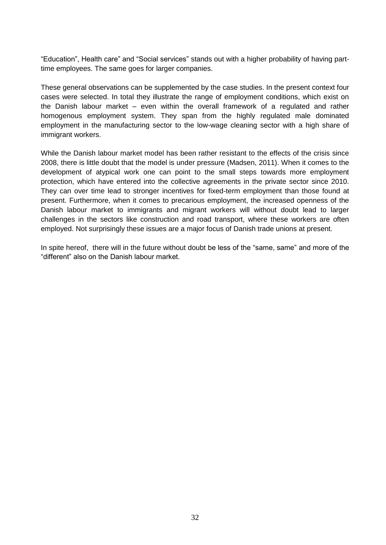"Education", Health care" and "Social services" stands out with a higher probability of having parttime employees. The same goes for larger companies.

These general observations can be supplemented by the case studies. In the present context four cases were selected. In total they illustrate the range of employment conditions, which exist on the Danish labour market – even within the overall framework of a regulated and rather homogenous employment system. They span from the highly regulated male dominated employment in the manufacturing sector to the low-wage cleaning sector with a high share of immigrant workers.

While the Danish labour market model has been rather resistant to the effects of the crisis since 2008, there is little doubt that the model is under pressure (Madsen, 2011). When it comes to the development of atypical work one can point to the small steps towards more employment protection, which have entered into the collective agreements in the private sector since 2010. They can over time lead to stronger incentives for fixed-term employment than those found at present. Furthermore, when it comes to precarious employment, the increased openness of the Danish labour market to immigrants and migrant workers will without doubt lead to larger challenges in the sectors like construction and road transport, where these workers are often employed. Not surprisingly these issues are a major focus of Danish trade unions at present.

In spite hereof, there will in the future without doubt be less of the "same, same" and more of the "different" also on the Danish labour market.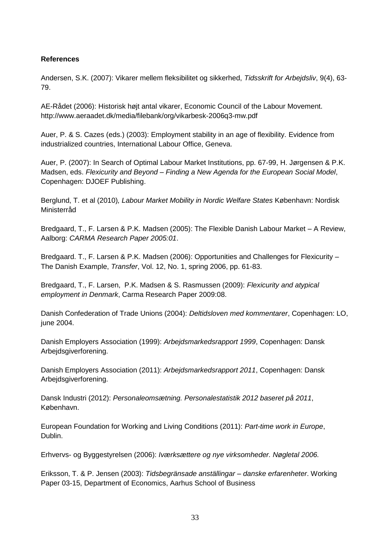#### **References**

Andersen, S.K. (2007): Vikarer mellem fleksibilitet og sikkerhed, *Tidsskrift for Arbejdsliv*, 9(4), 63- 79.

AE-Rådet (2006): Historisk højt antal vikarer, Economic Council of the Labour Movement. http://www.aeraadet.dk/media/filebank/org/vikarbesk-2006q3-mw.pdf

Auer, P. & S. Cazes (eds.) (2003): Employment stability in an age of flexibility. Evidence from industrialized countries, International Labour Office, Geneva.

Auer, P. (2007): In Search of Optimal Labour Market Institutions, pp. 67-99, H. Jørgensen & P.K. Madsen, eds. *Flexicurity and Beyond – Finding a New Agenda for the European Social Model*, Copenhagen: DJOEF Publishing.

Berglund, T. et al (2010)*, Labour Market Mobility in Nordic Welfare States* København: Nordisk Ministerråd

Bredgaard, T., F. Larsen & P.K. Madsen (2005): The Flexible Danish Labour Market – A Review, Aalborg: *CARMA Research Paper 2005:01*.

Bredgaard. T., F. Larsen & P.K. Madsen (2006): Opportunities and Challenges for Flexicurity – The Danish Example, *Transfer*, Vol. 12, No. 1, spring 2006, pp. 61-83.

Bredgaard, T., F. Larsen, P.K. Madsen & S. Rasmussen (2009): *Flexicurity and atypical employment in Denmark*, Carma Research Paper 2009:08.

Danish Confederation of Trade Unions (2004): *Deltidsloven med kommentarer*, Copenhagen: LO, june 2004.

Danish Employers Association (1999): *Arbejdsmarkedsrapport 1999*, Copenhagen: Dansk Arbejdsgiverforening.

Danish Employers Association (2011): *Arbejdsmarkedsrapport 2011*, Copenhagen: Dansk Arbejdsgiverforening.

Dansk Industri (2012): *Personaleomsætning. Personalestatistik 2012 baseret på 2011*, København.

European Foundation for Working and Living Conditions (2011): *Part-time work in Europe*, Dublin.

Erhvervs- og Byggestyrelsen (2006): *Iværksættere og nye virksomheder. Nøgletal 2006.*

Eriksson, T. & P. Jensen (2003): *Tidsbegränsade anställingar – danske erfarenheter*. Working Paper 03-15, Department of Economics, Aarhus School of Business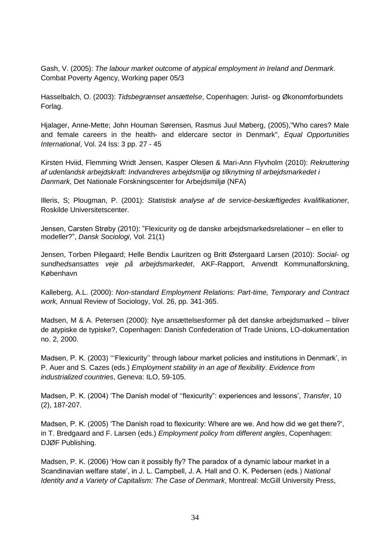Gash, V. (2005): *The labour market outcome of atypical employment in Ireland and Denmark*. Combat Poverty Agency, Working paper 05/3

Hasselbalch, O. (2003): *Tidsbegrænset ansættelse*, Copenhagen: Jurist- og Økonomforbundets Forlag.

Hjalager, Anne-Mette; John Houman Sørensen, Rasmus Juul Møberg, (2005),"Who cares? Male and female careers in the health- and eldercare sector in Denmark", *Equal Opportunities International*, Vol. 24 Iss: 3 pp. 27 - 45

Kirsten Hviid, Flemming Wridt Jensen, Kasper Olesen & Mari-Ann Flyvholm (2010): *Rekruttering af udenlandsk arbejdskraft: Indvandreres arbejdsmiljø og tilknytning til arbejdsmarkedet i Danmark,* Det Nationale Forskningscenter for Arbejdsmiljø (NFA)

Illeris, S; Plougman, P. (2001): *Statistisk analyse af de service-beskæftigedes kvalifikationer*, Roskilde Universitetscenter.

Jensen, Carsten Strøby (2010): "Flexicurity og de danske arbejdsmarkedsrelationer – en eller to modeller?", *Dansk Sociologi*, Vol. 21(1)

Jensen, Torben Pilegaard; Helle Bendix Lauritzen og Britt Østergaard Larsen (2010): *Social- og sundhedsansattes veje på arbejdsmarkedet*, AKF-Rapport, Anvendt Kommunalforskning, København

Kalleberg, A.L. (2000): *Non-standard Employment Relations: Part-time, Temporary and Contract work,* Annual Review of Sociology, Vol. 26, pp. 341-365.

Madsen, M & A. Petersen (2000): Nye ansættelsesformer på det danske arbejdsmarked – bliver de atypiske de typiske?, Copenhagen: Danish Confederation of Trade Unions, LO-dokumentation no. 2, 2000.

Madsen, P. K. (2003) '''Flexicurity'' through labour market policies and institutions in Denmark', in P. Auer and S. Cazes (eds.) *Employment stability in an age of flexibility*. *Evidence from industrialized countries*, Geneva: ILO, 59-105.

Madsen, P. K. (2004) 'The Danish model of ''flexicurity": experiences and lessons', *Transfer*, 10 (2), 187-207.

Madsen, P. K. (2005) 'The Danish road to flexicurity: Where are we. And how did we get there?', in T. Bredgaard and F. Larsen (eds.) *Employment policy from different angles*, Copenhagen: DJØF Publishing.

Madsen, P. K. (2006) 'How can it possibly fly? The paradox of a dynamic labour market in a Scandinavian welfare state', in J. L. Campbell, J. A. Hall and O. K. Pedersen (eds.) *National Identity and a Variety of Capitalism: The Case of Denmark*, Montreal: McGill University Press,